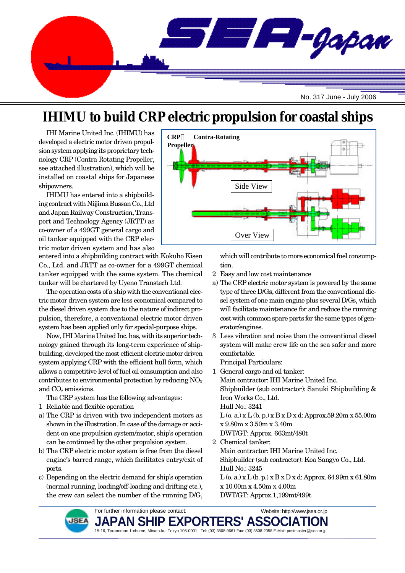

# **IHIMU to build CRP electric propulsion for coastal ships**

IHI Marine United Inc. (IHIMU) has developed a electric motor driven propulsion system applying its proprietary technology CRP (Contra Rotating Propeller, see attached illustration), which will be installed on coastal ships for Japanese shipowners.

IHIMU has entered into a shipbuilding contract with Niijima Bussan Co., Ltd and Japan Railway Construction, Transport and Technology Agency (JRTT) as co-owner of a 499GT general cargo and oil tanker equipped with the CRP electric motor driven system and has also

entered into a shipbuilding contract with Kokuho Kisen Co., Ltd. and JRTT as co-owner for a 499GT chemical tanker equipped with the same system. The chemical tanker will be chartered by Uyeno Transtech Ltd.

The operation costs of a ship with the conventional electric motor driven system are less economical compared to the diesel driven system due to the nature of indirect propulsion, therefore, a conventional electric motor driven system has been applied only for special-purpose ships.

Now, IHI Marine United Inc. has, with its superior technology gained through its long-term experience of shipbuilding, developed the most efficient electric motor driven system applying CRP with the efficient hull form, which allows a competitive level of fuel oil consumption and also contributes to environmental protection by reducing  $NO<sub>X</sub>$ and  $CO<sub>2</sub>$  emissions.

The CRP system has the following advantages:

- 1 Reliable and flexible operation
- a) The CRP is driven with two independent motors as shown in the illustration. In case of the damage or accident on one propulsion system/motor, ship's operation can be continued by the other propulsion system.
- b) The CRP electric motor system is free from the diesel engine's barred range, which facilitates entry/exit of ports.
- c) Depending on the electric demand for ship's operation (normal running, loading/off-loading and drifting etc.), the crew can select the number of the running D/G,



which will contribute to more economical fuel consumption.

- 2 Easy and low cost maintenance
- a) The CRP electric motor system is powered by the same type of three D/Gs, different from the conventional diesel system of one main engine plus several D/Gs, which will facilitate maintenance for and reduce the running cost with common spare parts for the same types of generator/engines.
- 3 Less vibration and noise than the conventional diesel system will make crew life on the sea safer and more comfortable.

Principal Particulars:

- 1 General cargo and oil tanker: Main contractor: IHI Marine United Inc. Shipbuilder (sub contractor): Sanuki Shipbuilding & Iron Works Co., Ltd. Hull No.: 3241  $L$  (o. a.) x  $L$  (b. p.) x  $B$  x  $D$  x d: Approx.59.20m x 55.00m x 9.80m x 3.50m x 3.40m DWT/GT: Approx. 663mt/480t 2 Chemical tanker:
- Main contractor: IHI Marine United Inc. Shipbuilder (sub contractor): Koa Sangyo Co., Ltd. Hull No.: 3245  $L$  (o. a.)  $x L$  (b. p.)  $x B x D x d$ : Approx. 64.99m  $x 61.80m$ x 10.00m x 4.50m x 4.00m DWT/GT: Approx.1,199mt/499t



**JAPAN SHIP EXPORTERS' ASS(** 15-16, Toranomon 1-chome, Minato-ku, Tokyo 105-0001 Tel: (03) 3508-9661 Fax: (03) 3508-2058 E-Mail: postmaster@jsea.or.jp Website: http://www.jsea.or.jp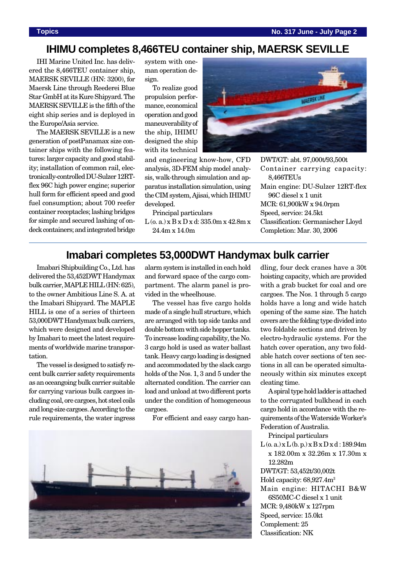## **IHIMU completes 8,466TEU container ship, MAERSK SEVILLE**

IHI Marine United Inc. has delivered the 8,466TEU container ship, MAERSK SEVILLE (HN: 3200), for Maersk Line through Reederei Blue Star GmbH at its Kure Shipyard. The MAERSK SEVILLE is the fifth of the eight ship series and is deployed in the Europe/Asia service.

The MAERSK SEVILLE is a new generation of postPanamax size container ships with the following features: larger capacity and good stability; installation of common rail, electronically-controlled DU-Sulzer 12RTflex 96C high power engine; superior hull form for efficient speed and good fuel consumption; about 700 reefer container receptacles; lashing bridges for simple and secured lashing of ondeck containers; and integrated bridge

system with oneman operation design.

To realize good propulsion performance, economical operation and good maneuverability of the ship, IHIMU designed the ship with its technical



and engineering know-how, CFD analysis, 3D-FEM ship model analysis, walk-through simulation and apparatus installation simulation, using the CIM system, Ajisai, which IHIMU developed.

Principal particulars

L (o. a.) x B x D x d: 335.0m x 42.8m x 24.4m x 14.0m

DWT/GT: abt. 97,000t/93,500t Container carrying capacity: 8,466TEUs Main engine: DU-Sulzer 12RT-flex 96C diesel x 1 unit MCR: 61,900kW x 94.0rpm Speed, service: 24.5kt Classification: Germanischer Lloyd Completion: Mar. 30, 2006

### **Imabari completes 53,000DWT Handymax bulk carrier**

Imabari Shipbuilding Co., Ltd. has delivered the 53,452DWT Handymax bulk carrier, MAPLE HILL (HN: 625), to the owner Ambitious Line S. A. at the Imabari Shipyard. The MAPLE HILL is one of a series of thirteen 53,000DWT Handymax bulk carriers, which were designed and developed by Imabari to meet the latest requirements of worldwide marine transportation.

The vessel is designed to satisfy recent bulk carrier safety requirements as an oceangoing bulk carrier suitable for carrying various bulk cargoes including coal, ore cargoes, hot steel coils and long-size cargoes. According to the rule requirements, the water ingress alarm system is installed in each hold and forward space of the cargo compartment. The alarm panel is provided in the wheelhouse.

The vessel has five cargo holds made of a single hull structure, which are arranged with top side tanks and double bottom with side hopper tanks. To increase loading capability, the No. 3 cargo hold is used as water ballast tank. Heavy cargo loading is designed and accommodated by the slack cargo holds of the Nos. 1, 3 and 5 under the alternated condition. The carrier can load and unload at two different ports under the condition of homogeneous cargoes.

For efficient and easy cargo han-



dling, four deck cranes have a 30t hoisting capacity, which are provided with a grab bucket for coal and ore cargoes. The Nos. 1 through 5 cargo holds have a long and wide hatch opening of the same size. The hatch covers are the folding type divided into two foldable sections and driven by electro-hydraulic systems. For the hatch cover operation, any two foldable hatch cover sections of ten sections in all can be operated simultaneously within six minutes except cleating time.

A spiral type hold ladder is attached to the corrugated bulkhead in each cargo hold in accordance with the requirements of the Waterside Worker's Federation of Australia.

Principal particulars  $L(0, a)$  x  $L(b, p)$  x  $B x D x d$  : 189.94m x 182.00m x 32.26m x 17.30m x 12.282m DWT/GT: 53,452t/30,002t Hold capacity: 68,927.4m3 Main engine: HITACHI B&W 6S50MC-C diesel x 1 unit

MCR: 9,480kW x 127rpm Speed, service: 15.0kt Complement: 25 Classification: NK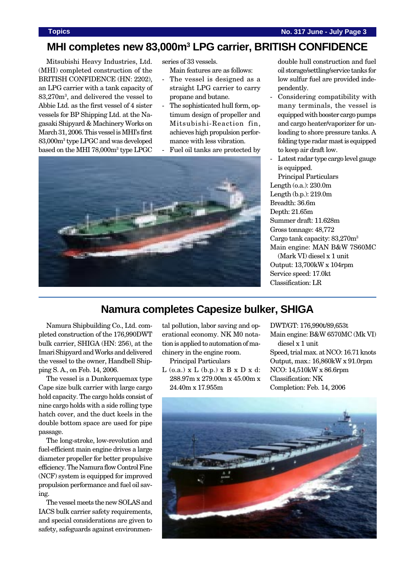### **MHI completes new 83,000m3 LPG carrier, BRITISH CONFIDENCE**

Mitsubishi Heavy Industries, Ltd. (MHI) completed construction of the BRITISH CONFIDENCE (HN: 2202), an LPG carrier with a tank capacity of 83,270m3 , and delivered the vessel to Abbie Ltd. as the first vessel of 4 sister vessels for BP Shipping Ltd. at the Nagasaki Shipyard & Machinery Works on March 31, 2006. This vessel is MHI's first 83,000m3 type LPGC and was developed based on the MHI 78,000m3 type LPGC

series of 33 vessels.

Main features are as follows:

- The vessel is designed as a straight LPG carrier to carry propane and butane.
- The sophisticated hull form, optimum design of propeller and Mitsubishi-Reaction fin, achieves high propulsion performance with less vibration.
- Fuel oil tanks are protected by



double hull construction and fuel oil storage/settling/service tanks for low sulfur fuel are provided independently.

- Considering compatibility with many terminals, the vessel is equipped with booster cargo pumps and cargo heater/vaporizer for unloading to shore pressure tanks. A folding type radar mast is equipped to keep air draft low.
- Latest radar type cargo level gauge is equipped.

Principal Particulars Length (o.a.): 230.0m Length (b.p.): 219.0m Breadth: 36.6m Depth: 21.65m Summer draft: 11.628m Gross tonnage: 48,772 Cargo tank capacity: 83,270m3 Main engine: MAN B&W 7S60MC (Mark VI) diesel x 1 unit Output: 13,700kW x 104rpm Service speed: 17.0kt Classification: LR

### **Namura completes Capesize bulker, SHIGA**

Namura Shipbuilding Co., Ltd. completed construction of the 176,990DWT bulk carrier, SHIGA (HN: 256), at the Imari Shipyard and Works and delivered the vessel to the owner, Handbell Shipping S. A., on Feb. 14, 2006.

The vessel is a Dunkerquemax type Cape size bulk carrier with large cargo hold capacity. The cargo holds consist of nine cargo holds with a side rolling type hatch cover, and the duct keels in the double bottom space are used for pipe passage.

The long-stroke, low-revolution and fuel-efficient main engine drives a large diameter propeller for better propulsive efficiency. The Namura flow Control Fine (NCF) system is equipped for improved propulsion performance and fuel oil saving.

The vessel meets the new SOLAS and IACS bulk carrier safety requirements, and special considerations are given to safety, safeguards against environmental pollution, labor saving and operational economy. NK M0 notation is applied to automation of machinery in the engine room.

Principal Particulars

 $L$  (o.a.)  $x L$  (b.p.)  $x B x D x d$ : 288.97m x 279.00m x 45.00m x 24.40m x 17.955m

DWT/GT: 176,990t/89,653t Main engine: B&W 6570MC (Mk VI) diesel x 1 unit Speed, trial max. at NCO: 16.71 knots Output, max.: 16,860kW x 91.0rpm NCO: 14,510kW x 86.6rpm Classification: NK Completion: Feb. 14, 2006

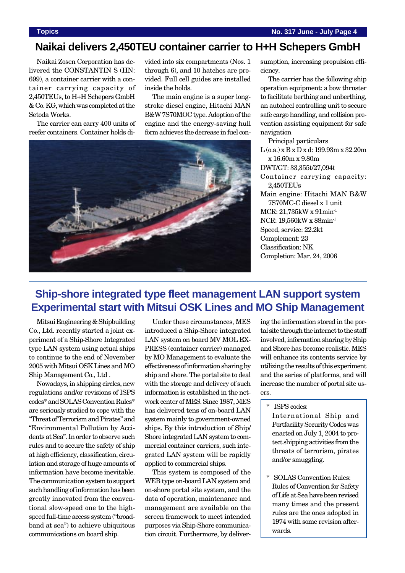### **Naikai delivers 2,450TEU container carrier to H+H Schepers GmbH**

Naikai Zosen Corporation has delivered the CONSTANTIN S (HN: 699), a container carrier with a container carrying capacity of 2,450TEUs, to H+H Schepers GmbH & Co. KG, which was completed at the Setoda Works.

The carrier can carry 400 units of reefer containers. Container holds divided into six compartments (Nos. 1 through 6), and 10 hatches are provided. Full cell guides are installed inside the holds.

The main engine is a super longstroke diesel engine, Hitachi MAN B&W 7S70MOC type. Adoption of the engine and the energy-saving hull form achieves the decrease in fuel con-



sumption, increasing propulsion efficiency.

The carrier has the following ship operation equipment: a bow thruster to facilitate berthing and unberthing, an autoheel controlling unit to secure safe cargo handling, and collision prevention assisting equipment for safe navigation

Principal particulars  $L$  (0.a.) x B x D x d: 199.93m x 32.20m x 16.60m x 9.80m DWT/GT: 33,355t/27,094t Container carrying capacity: 2,450TEUs Main engine: Hitachi MAN B&W 7S70MC-C diesel x 1 unit MCR: 21,735kW x 91min-1 NCR: 19,560kW x 88min-1 Speed, service: 22.2kt Complement: 23 Classification: NK Completion: Mar. 24, 2006

### **Ship-shore integrated type fleet management LAN support system Experimental start with Mitsui OSK Lines and MO Ship Management**

Mitsui Engineering & Shipbuilding Co., Ltd. recently started a joint experiment of a Ship-Shore Integrated type LAN system using actual ships to continue to the end of November 2005 with Mitsui OSK Lines and MO Ship Management Co., Ltd .

Nowadays, in shipping circles, new regulations and/or revisions of ISPS codes\* and SOLAS Convention Rules\* are seriously studied to cope with the "Threat of Terrorism and Pirates" and "Environmental Pollution by Accidents at Sea". In order to observe such rules and to secure the safety of ship at high efficiency, classification, circulation and storage of huge amounts of information have become inevitable. The communication system to support such handling of information has been greatly innovated from the conventional slow-speed one to the highspeed full-time access system ("broadband at sea") to achieve ubiquitous communications on board ship.

Under these circumstances, MES introduced a Ship-Shore integrated LAN system on board MV MOL EX-PRESS (container carrier) managed by MO Management to evaluate the effectiveness of information sharing by ship and shore. The portal site to deal with the storage and delivery of such information is established in the network center of MES. Since 1987, MES has delivered tens of on-board LAN system mainly to government-owned ships. By this introduction of Ship/ Shore integrated LAN system to commercial container carriers, such integrated LAN system will be rapidly applied to commercial ships.

This system is composed of the WEB type on-board LAN system and on-shore portal site system, and the data of operation, maintenance and management are available on the screen framework to meet intended purposes via Ship-Shore communication circuit. Furthermore, by deliver-

ing the information stored in the portal site through the internet to the staff involved, information sharing by Ship and Shore has become realistic. MES will enhance its contents service by utilizing the results of this experiment and the series of platforms, and will increase the number of portal site users.

- \* ISPS codes:
	- International Ship and Portfacility Security Codes was enacted on July 1, 2004 to protect shipping activities from the threats of terrorism, pirates and/or smuggling.
- \* SOLAS Convention Rules: Rules of Convention for Safety of Life at Sea have been revised many times and the present rules are the ones adopted in 1974 with some revision afterwards.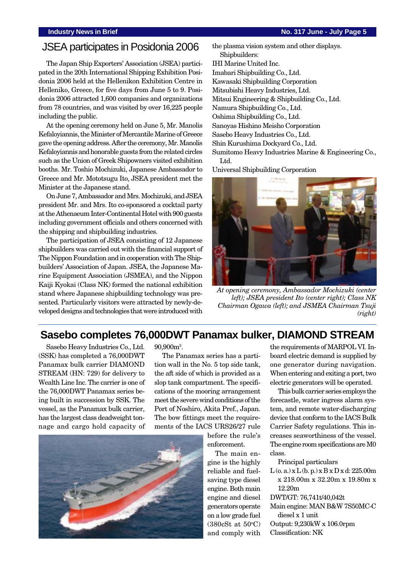### **Industry News in Brief No. 317 June - July Page 5**

### JSEA participates in Posidonia 2006

The Japan Ship Exporters' Association (JSEA) participated in the 20th International Shipping Exhibition Posidonia 2006 held at the Hellenikon Exhibition Centre in Helleniko, Greece, for five days from June 5 to 9. Posidonia 2006 attracted 1,600 companies and organizations from 78 countries, and was visited by over 16,225 people including the public.

At the opening ceremony held on June 5, Mr. Manolis Kefaloyiannis, the Minister of Mercantile Marine of Greece gave the opening address. After the ceremony, Mr. Manolis Kefaloyiannis and honorable guests from the related circles such as the Union of Greek Shipowners visited exhibition booths. Mr. Toshio Mochizuki, Japanese Ambassador to Greece and Mr. Mototsugu Ito, JSEA president met the Minister at the Japanese stand.

On June 7, Ambassador and Mrs. Mochizuki, and JSEA president Mr. and Mrs. Ito co-sponsored a cocktail party at the Athenaeum Inter-Continental Hotel with 900 guests including government officials and others concerned with the shipping and shipbuilding industries.

The participation of JSEA consisting of 12 Japanese shipbuilders was carried out with the financial support of The Nippon Foundation and in cooperation with The Shipbuilders' Association of Japan. JSEA, the Japanese Marine Equipment Association (JSMEA), and the Nippon Kaiji Kyokai (Class NK) formed the national exhibition stand where Japanese shipbuilding technology was presented. Particularly visitors were attracted by newly-developed designs and technologies that were introduced with

the plasma vision system and other displays. Shipbuilders: IHI Marine United Inc. Imabari Shipbuilding Co., Ltd. Kawasaki Shipbuilding Corporation Mitsubishi Heavy Industries, Ltd. Mitsui Engineering & Shipbuilding Co., Ltd. Namura Shipbuilding Co., Ltd. Oshima Shipbuilding Co., Ltd. Sanoyas Hishino Meisho Corporation

Sasebo Heavy Industries Co., Ltd.

Shin Kurushima Dockyard Co., Ltd.

Sumitomo Heavy Industries Marine & Engineering Co., Ltd.

Universal Shipbuilding Corporation



*At opening ceremony, Ambassador Mochizuki (center left); JSEA president Ito (center right); Class NK Chairman Ogawa (left); and JSMEA Chairman Tsuji (right)*

### **Sasebo completes 76,000DWT Panamax bulker, DIAMOND STREAM**

Sasebo Heavy Industries Co., Ltd. (SSK) has completed a 76,000DWT Panamax bulk carrier DIAMOND STREAM (HN: 729) for delivery to Wealth Line Inc. The carrier is one of the 76,000DWT Panamax series being built in succession by SSK. The vessel, as the Panamax bulk carrier, has the largest class deadweight tonnage and cargo hold capacity of  $90,900<sup>3</sup>$ .

The Panamax series has a partition wall in the No. 5 top side tank, the aft side of which is provided as a slop tank compartment. The specifications of the mooring arrangement meet the severe wind conditions of the Port of Noshiro, Akita Pref., Japan. The bow fittings meet the requirements of the IACS URS26/27 rule



before the rule's enforcement.

The main engine is the highly reliable and fuelsaving type diesel engine. Both main engine and diesel generators operate on a low grade fuel  $(380cSt at 50°C)$ and comply with

the requirements of MARPOL VI. Inboard electric demand is supplied by one generator during navigation. When entering and exiting a port, two electric generators will be operated.

This bulk carrier series employs the forecastle, water ingress alarm system, and remote water-discharging device that conform to the IACS Bulk Carrier Safety regulations. This increases seaworthiness of the vessel. The engine room specifications are M0 class.

Principal particulars

 $L(0, a)$  x  $L(0, p)$  x  $B x D x d: 225.00m$ x 218.00m x 32.20m x 19.80m x 12.20m

DWT/GT: 76,741t/40,042t

- Main engine: MAN B&W 7S50MC-C diesel x 1 unit
- Output: 9,230kW x 106.0rpm

Classification: NK